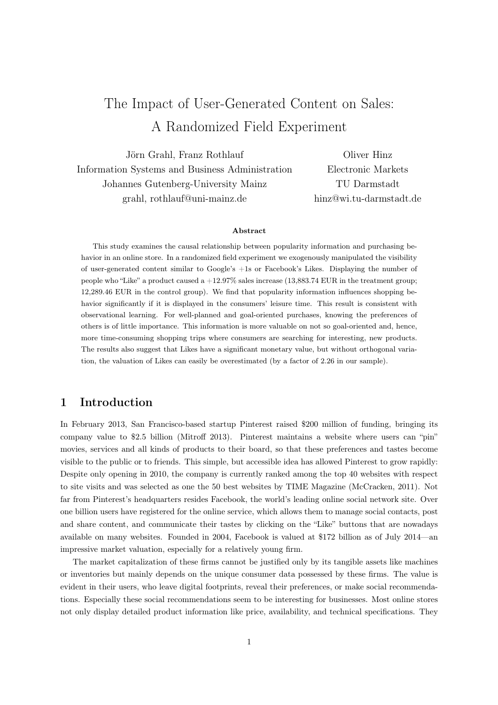# The Impact of User-Generated Content on Sales: A Randomized Field Experiment

Jörn Grahl, Franz Rothlauf Information Systems and Business Administration Johannes Gutenberg-University Mainz grahl, rothlauf@uni-mainz.de

Oliver Hinz Electronic Markets TU Darmstadt hinz@wi.tu-darmstadt.de

#### Abstract

This study examines the causal relationship between popularity information and purchasing behavior in an online store. In a randomized field experiment we exogenously manipulated the visibility of user-generated content similar to Google's +1s or Facebook's Likes. Displaying the number of people who "Like" a product caused a  $+12.97\%$  sales increase (13,883.74 EUR in the treatment group; 12,289.46 EUR in the control group). We find that popularity information influences shopping behavior significantly if it is displayed in the consumers' leisure time. This result is consistent with observational learning. For well-planned and goal-oriented purchases, knowing the preferences of others is of little importance. This information is more valuable on not so goal-oriented and, hence, more time-consuming shopping trips where consumers are searching for interesting, new products. The results also suggest that Likes have a significant monetary value, but without orthogonal variation, the valuation of Likes can easily be overestimated (by a factor of 2.26 in our sample).

# 1 Introduction

In February 2013, San Francisco-based startup Pinterest raised \$200 million of funding, bringing its company value to \$2.5 billion (Mitroff 2013). Pinterest maintains a website where users can "pin" movies, services and all kinds of products to their board, so that these preferences and tastes become visible to the public or to friends. This simple, but accessible idea has allowed Pinterest to grow rapidly: Despite only opening in 2010, the company is currently ranked among the top 40 websites with respect to site visits and was selected as one the 50 best websites by TIME Magazine (McCracken, 2011). Not far from Pinterest's headquarters resides Facebook, the world's leading online social network site. Over one billion users have registered for the online service, which allows them to manage social contacts, post and share content, and communicate their tastes by clicking on the "Like" buttons that are nowadays available on many websites. Founded in 2004, Facebook is valued at \$172 billion as of July 2014—an impressive market valuation, especially for a relatively young firm.

The market capitalization of these firms cannot be justified only by its tangible assets like machines or inventories but mainly depends on the unique consumer data possessed by these firms. The value is evident in their users, who leave digital footprints, reveal their preferences, or make social recommendations. Especially these social recommendations seem to be interesting for businesses. Most online stores not only display detailed product information like price, availability, and technical specifications. They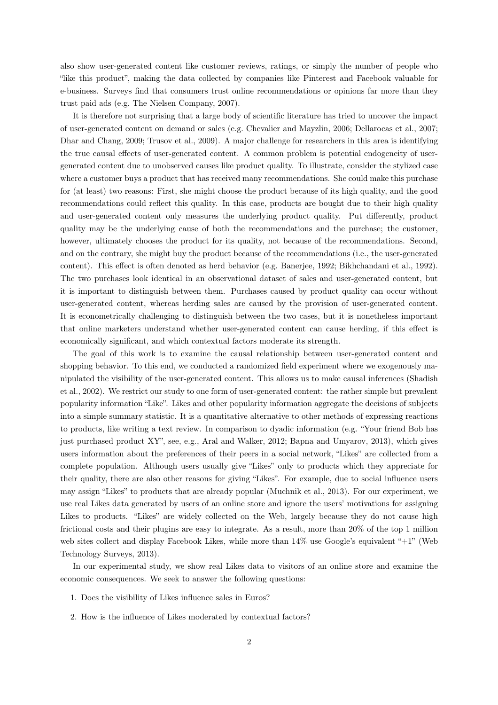also show user-generated content like customer reviews, ratings, or simply the number of people who "like this product", making the data collected by companies like Pinterest and Facebook valuable for e-business. Surveys find that consumers trust online recommendations or opinions far more than they trust paid ads (e.g. The Nielsen Company, 2007).

It is therefore not surprising that a large body of scientific literature has tried to uncover the impact of user-generated content on demand or sales (e.g. Chevalier and Mayzlin, 2006; Dellarocas et al., 2007; Dhar and Chang, 2009; Trusov et al., 2009). A major challenge for researchers in this area is identifying the true causal effects of user-generated content. A common problem is potential endogeneity of usergenerated content due to unobserved causes like product quality. To illustrate, consider the stylized case where a customer buys a product that has received many recommendations. She could make this purchase for (at least) two reasons: First, she might choose the product because of its high quality, and the good recommendations could reflect this quality. In this case, products are bought due to their high quality and user-generated content only measures the underlying product quality. Put differently, product quality may be the underlying cause of both the recommendations and the purchase; the customer, however, ultimately chooses the product for its quality, not because of the recommendations. Second, and on the contrary, she might buy the product because of the recommendations (i.e., the user-generated content). This effect is often denoted as herd behavior (e.g. Banerjee, 1992; Bikhchandani et al., 1992). The two purchases look identical in an observational dataset of sales and user-generated content, but it is important to distinguish between them. Purchases caused by product quality can occur without user-generated content, whereas herding sales are caused by the provision of user-generated content. It is econometrically challenging to distinguish between the two cases, but it is nonetheless important that online marketers understand whether user-generated content can cause herding, if this effect is economically significant, and which contextual factors moderate its strength.

The goal of this work is to examine the causal relationship between user-generated content and shopping behavior. To this end, we conducted a randomized field experiment where we exogenously manipulated the visibility of the user-generated content. This allows us to make causal inferences (Shadish et al., 2002). We restrict our study to one form of user-generated content: the rather simple but prevalent popularity information "Like". Likes and other popularity information aggregate the decisions of subjects into a simple summary statistic. It is a quantitative alternative to other methods of expressing reactions to products, like writing a text review. In comparison to dyadic information (e.g. "Your friend Bob has just purchased product XY", see, e.g., Aral and Walker, 2012; Bapna and Umyarov, 2013), which gives users information about the preferences of their peers in a social network, "Likes" are collected from a complete population. Although users usually give "Likes" only to products which they appreciate for their quality, there are also other reasons for giving "Likes". For example, due to social influence users may assign "Likes" to products that are already popular (Muchnik et al., 2013). For our experiment, we use real Likes data generated by users of an online store and ignore the users' motivations for assigning Likes to products. "Likes" are widely collected on the Web, largely because they do not cause high frictional costs and their plugins are easy to integrate. As a result, more than 20% of the top 1 million web sites collect and display Facebook Likes, while more than  $14\%$  use Google's equivalent " $+1$ " (Web Technology Surveys, 2013).

In our experimental study, we show real Likes data to visitors of an online store and examine the economic consequences. We seek to answer the following questions:

- 1. Does the visibility of Likes influence sales in Euros?
- 2. How is the influence of Likes moderated by contextual factors?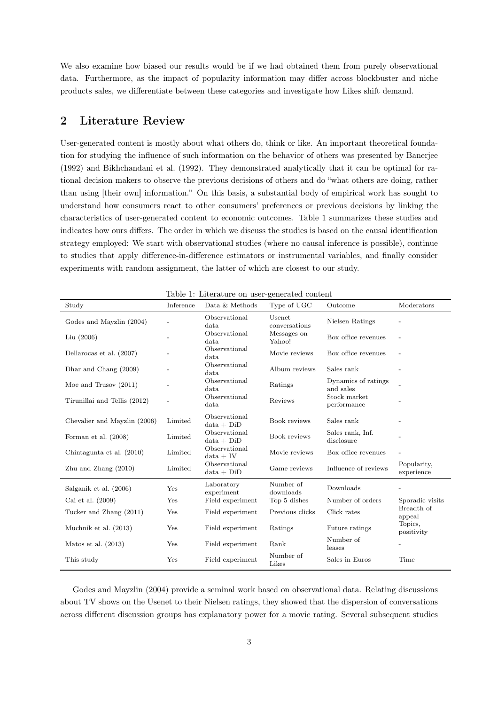We also examine how biased our results would be if we had obtained them from purely observational data. Furthermore, as the impact of popularity information may differ across blockbuster and niche products sales, we differentiate between these categories and investigate how Likes shift demand.

## 2 Literature Review

User-generated content is mostly about what others do, think or like. An important theoretical foundation for studying the influence of such information on the behavior of others was presented by Banerjee (1992) and Bikhchandani et al. (1992). They demonstrated analytically that it can be optimal for rational decision makers to observe the previous decisions of others and do "what others are doing, rather than using [their own] information." On this basis, a substantial body of empirical work has sought to understand how consumers react to other consumers' preferences or previous decisions by linking the characteristics of user-generated content to economic outcomes. Table 1 summarizes these studies and indicates how ours differs. The order in which we discuss the studies is based on the causal identification strategy employed: We start with observational studies (where no causal inference is possible), continue to studies that apply difference-in-difference estimators or instrumental variables, and finally consider experiments with random assignment, the latter of which are closest to our study.

| Study                        | Inference | Data & Methods                | Type of UGC             | Outcome                          | Moderators                |
|------------------------------|-----------|-------------------------------|-------------------------|----------------------------------|---------------------------|
| Godes and Mayzlin (2004)     |           | Observational<br>data         | Usenet<br>conversations | Nielsen Ratings                  |                           |
| $Liu$ (2006)                 |           | Observational<br>data         | Messages on<br>Yahoo!   | Box office revenues              |                           |
| Dellarocas et al. (2007)     |           | Observational<br>data         | Movie reviews           | Box office revenues              |                           |
| Dhar and Chang (2009)        |           | Observational<br>data         | Album reviews           | Sales rank                       |                           |
| Moe and Trusov $(2011)$      |           | Observational<br>data         | Ratings                 | Dynamics of ratings<br>and sales |                           |
| Tirunillai and Tellis (2012) |           | Observational<br>data         | Reviews                 | Stock market<br>performance      |                           |
| Chevalier and Mayzlin (2006) | Limited   | Observational<br>$data + DiD$ | Book reviews            | Sales rank                       |                           |
| Forman et al. (2008)         | Limited   | Observational<br>$data + DiD$ | Book reviews            | Sales rank, Inf.<br>disclosure   |                           |
| Chintagunta et al. (2010)    | Limited   | Observational<br>$data + IV$  | Movie reviews           | Box office revenues              |                           |
| $Zhu$ and $Zhang$ $(2010)$   | Limited   | Observational<br>$data + DiD$ | Game reviews            | Influence of reviews             | Popularity,<br>experience |
| Salganik et al. (2006)       | Yes       | Laboratory<br>experiment      | Number of<br>downloads  | Downloads                        |                           |
| Cai et al. (2009)            | Yes       | Field experiment              | Top 5 dishes            | Number of orders                 | Sporadic visits           |
| Tucker and Zhang (2011)      | Yes       | Field experiment              | Previous clicks         | Click rates                      | Breadth of<br>appeal      |
| Muchnik et al. (2013)        | Yes       | Field experiment              | Ratings                 | Future ratings                   | Topics,<br>positivity     |
| Matos et al. $(2013)$        | Yes       | Field experiment              | Rank                    | Number of<br>leases              |                           |
| This study                   | Yes       | Field experiment              | Number of<br>Likes      | Sales in Euros                   | Time                      |

Table 1: Literature on user-generated content

Godes and Mayzlin (2004) provide a seminal work based on observational data. Relating discussions about TV shows on the Usenet to their Nielsen ratings, they showed that the dispersion of conversations across different discussion groups has explanatory power for a movie rating. Several subsequent studies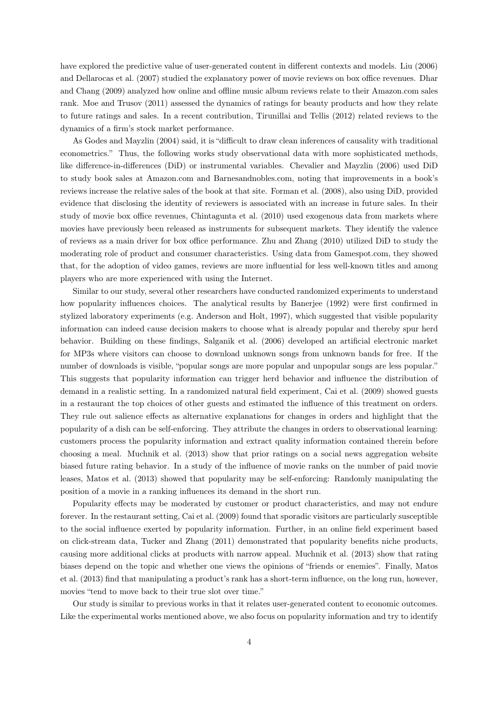have explored the predictive value of user-generated content in different contexts and models. Liu (2006) and Dellarocas et al. (2007) studied the explanatory power of movie reviews on box office revenues. Dhar and Chang (2009) analyzed how online and offline music album reviews relate to their Amazon.com sales rank. Moe and Trusov (2011) assessed the dynamics of ratings for beauty products and how they relate to future ratings and sales. In a recent contribution, Tirunillai and Tellis (2012) related reviews to the dynamics of a firm's stock market performance.

As Godes and Mayzlin (2004) said, it is "difficult to draw clean inferences of causality with traditional econometrics." Thus, the following works study observational data with more sophisticated methods, like difference-in-differences (DiD) or instrumental variables. Chevalier and Mayzlin (2006) used DiD to study book sales at Amazon.com and Barnesandnobles.com, noting that improvements in a book's reviews increase the relative sales of the book at that site. Forman et al. (2008), also using DiD, provided evidence that disclosing the identity of reviewers is associated with an increase in future sales. In their study of movie box office revenues, Chintagunta et al. (2010) used exogenous data from markets where movies have previously been released as instruments for subsequent markets. They identify the valence of reviews as a main driver for box office performance. Zhu and Zhang (2010) utilized DiD to study the moderating role of product and consumer characteristics. Using data from Gamespot.com, they showed that, for the adoption of video games, reviews are more influential for less well-known titles and among players who are more experienced with using the Internet.

Similar to our study, several other researchers have conducted randomized experiments to understand how popularity influences choices. The analytical results by Banerjee (1992) were first confirmed in stylized laboratory experiments (e.g. Anderson and Holt, 1997), which suggested that visible popularity information can indeed cause decision makers to choose what is already popular and thereby spur herd behavior. Building on these findings, Salganik et al. (2006) developed an artificial electronic market for MP3s where visitors can choose to download unknown songs from unknown bands for free. If the number of downloads is visible, "popular songs are more popular and unpopular songs are less popular." This suggests that popularity information can trigger herd behavior and influence the distribution of demand in a realistic setting. In a randomized natural field experiment, Cai et al. (2009) showed guests in a restaurant the top choices of other guests and estimated the influence of this treatment on orders. They rule out salience effects as alternative explanations for changes in orders and highlight that the popularity of a dish can be self-enforcing. They attribute the changes in orders to observational learning: customers process the popularity information and extract quality information contained therein before choosing a meal. Muchnik et al. (2013) show that prior ratings on a social news aggregation website biased future rating behavior. In a study of the influence of movie ranks on the number of paid movie leases, Matos et al. (2013) showed that popularity may be self-enforcing: Randomly manipulating the position of a movie in a ranking influences its demand in the short run.

Popularity effects may be moderated by customer or product characteristics, and may not endure forever. In the restaurant setting, Cai et al. (2009) found that sporadic visitors are particularly susceptible to the social influence exerted by popularity information. Further, in an online field experiment based on click-stream data, Tucker and Zhang (2011) demonstrated that popularity benefits niche products, causing more additional clicks at products with narrow appeal. Muchnik et al. (2013) show that rating biases depend on the topic and whether one views the opinions of "friends or enemies". Finally, Matos et al. (2013) find that manipulating a product's rank has a short-term influence, on the long run, however, movies "tend to move back to their true slot over time."

Our study is similar to previous works in that it relates user-generated content to economic outcomes. Like the experimental works mentioned above, we also focus on popularity information and try to identify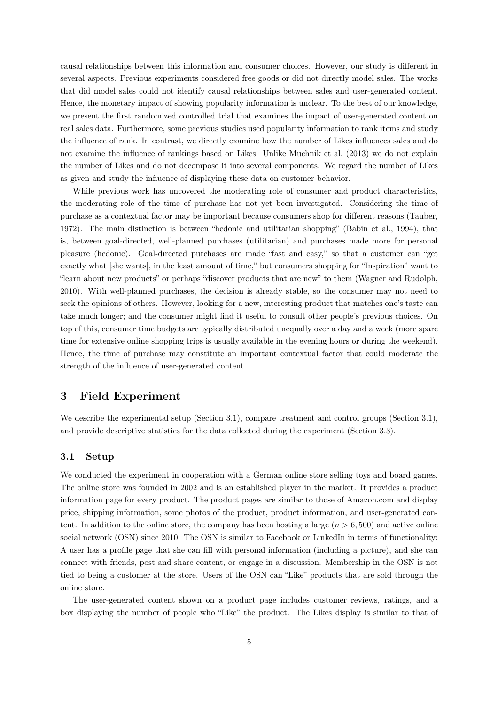causal relationships between this information and consumer choices. However, our study is different in several aspects. Previous experiments considered free goods or did not directly model sales. The works that did model sales could not identify causal relationships between sales and user-generated content. Hence, the monetary impact of showing popularity information is unclear. To the best of our knowledge, we present the first randomized controlled trial that examines the impact of user-generated content on real sales data. Furthermore, some previous studies used popularity information to rank items and study the influence of rank. In contrast, we directly examine how the number of Likes influences sales and do not examine the influence of rankings based on Likes. Unlike Muchnik et al. (2013) we do not explain the number of Likes and do not decompose it into several components. We regard the number of Likes as given and study the influence of displaying these data on customer behavior.

While previous work has uncovered the moderating role of consumer and product characteristics, the moderating role of the time of purchase has not yet been investigated. Considering the time of purchase as a contextual factor may be important because consumers shop for different reasons (Tauber, 1972). The main distinction is between "hedonic and utilitarian shopping" (Babin et al., 1994), that is, between goal-directed, well-planned purchases (utilitarian) and purchases made more for personal pleasure (hedonic). Goal-directed purchases are made "fast and easy," so that a customer can "get exactly what [she wants], in the least amount of time," but consumers shopping for "Inspiration" want to "learn about new products" or perhaps "discover products that are new" to them (Wagner and Rudolph, 2010). With well-planned purchases, the decision is already stable, so the consumer may not need to seek the opinions of others. However, looking for a new, interesting product that matches one's taste can take much longer; and the consumer might find it useful to consult other people's previous choices. On top of this, consumer time budgets are typically distributed unequally over a day and a week (more spare time for extensive online shopping trips is usually available in the evening hours or during the weekend). Hence, the time of purchase may constitute an important contextual factor that could moderate the strength of the influence of user-generated content.

## 3 Field Experiment

We describe the experimental setup (Section 3.1), compare treatment and control groups (Section 3.1), and provide descriptive statistics for the data collected during the experiment (Section 3.3).

## 3.1 Setup

We conducted the experiment in cooperation with a German online store selling toys and board games. The online store was founded in 2002 and is an established player in the market. It provides a product information page for every product. The product pages are similar to those of Amazon.com and display price, shipping information, some photos of the product, product information, and user-generated content. In addition to the online store, the company has been hosting a large  $(n > 6, 500)$  and active online social network (OSN) since 2010. The OSN is similar to Facebook or LinkedIn in terms of functionality: A user has a profile page that she can fill with personal information (including a picture), and she can connect with friends, post and share content, or engage in a discussion. Membership in the OSN is not tied to being a customer at the store. Users of the OSN can "Like" products that are sold through the online store.

The user-generated content shown on a product page includes customer reviews, ratings, and a box displaying the number of people who "Like" the product. The Likes display is similar to that of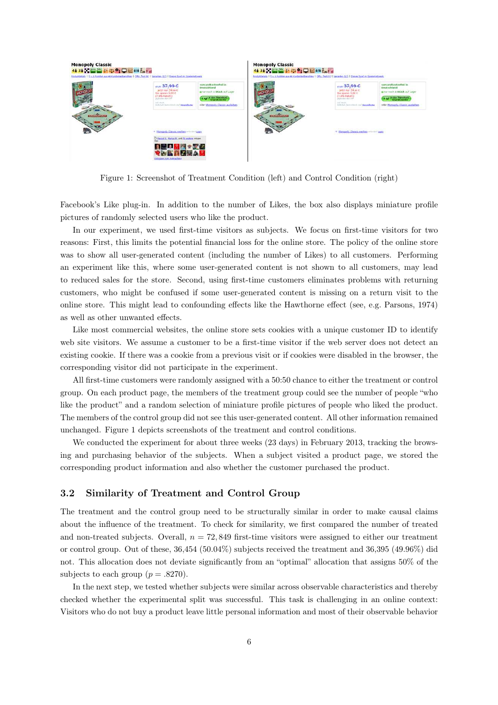

Figure 1: Screenshot of Treatment Condition (left) and Control Condition (right)

Facebook's Like plug-in. In addition to the number of Likes, the box also displays miniature profile pictures of randomly selected users who like the product.

In our experiment, we used first-time visitors as subjects. We focus on first-time visitors for two reasons: First, this limits the potential financial loss for the online store. The policy of the online store was to show all user-generated content (including the number of Likes) to all customers. Performing an experiment like this, where some user-generated content is not shown to all customers, may lead to reduced sales for the store. Second, using first-time customers eliminates problems with returning customers, who might be confused if some user-generated content is missing on a return visit to the online store. This might lead to confounding effects like the Hawthorne effect (see, e.g. Parsons, 1974) as well as other unwanted effects.

Like most commercial websites, the online store sets cookies with a unique customer ID to identify web site visitors. We assume a customer to be a first-time visitor if the web server does not detect an existing cookie. If there was a cookie from a previous visit or if cookies were disabled in the browser, the corresponding visitor did not participate in the experiment.

All first-time customers were randomly assigned with a 50:50 chance to either the treatment or control group. On each product page, the members of the treatment group could see the number of people "who like the product" and a random selection of miniature profile pictures of people who liked the product. The members of the control group did not see this user-generated content. All other information remained unchanged. Figure 1 depicts screenshots of the treatment and control conditions.

We conducted the experiment for about three weeks (23 days) in February 2013, tracking the browsing and purchasing behavior of the subjects. When a subject visited a product page, we stored the corresponding product information and also whether the customer purchased the product.

### 3.2 Similarity of Treatment and Control Group

The treatment and the control group need to be structurally similar in order to make causal claims about the influence of the treatment. To check for similarity, we first compared the number of treated and non-treated subjects. Overall,  $n = 72,849$  first-time visitors were assigned to either our treatment or control group. Out of these, 36,454 (50.04%) subjects received the treatment and 36,395 (49.96%) did not. This allocation does not deviate significantly from an "optimal" allocation that assigns 50% of the subjects to each group  $(p=.8270)$ .

In the next step, we tested whether subjects were similar across observable characteristics and thereby checked whether the experimental split was successful. This task is challenging in an online context: Visitors who do not buy a product leave little personal information and most of their observable behavior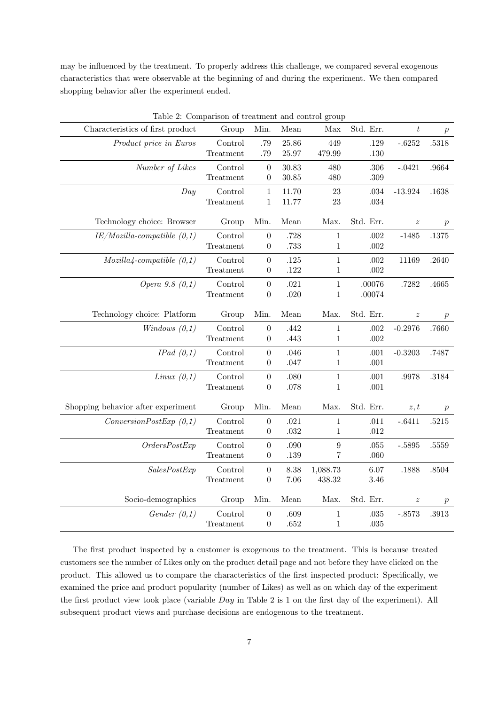may be influenced by the treatment. To properly address this challenge, we compared several exogenous characteristics that were observable at the beginning of and during the experiment. We then compared shopping behavior after the experiment ended.

|                                    | Table 2: Comparison of treatment and control group |                                      |              |                  |                  |                  |                  |  |
|------------------------------------|----------------------------------------------------|--------------------------------------|--------------|------------------|------------------|------------------|------------------|--|
| Characteristics of first product   | Group                                              | Min.                                 | Mean         | Max              | Std. Err.        | $\boldsymbol{t}$ | $\boldsymbol{p}$ |  |
| Product price in Euros             | Control                                            | .79                                  | 25.86        | 449              | .129             | $-.6252$         | .5318            |  |
|                                    | Treatment                                          | .79                                  | 25.97        | 479.99           | .130             |                  |                  |  |
| Number of Likes                    | Control                                            | $\boldsymbol{0}$                     | 30.83        | 480              | .306             | $-.0421$         | .9664            |  |
|                                    | Treatment                                          | $\theta$                             | 30.85        | 480              | .309             |                  |                  |  |
| Day                                | Control                                            | $\mathbf{1}$                         | 11.70        | 23               | .034             | $-13.924$        | .1638            |  |
|                                    | Treatment                                          | $\mathbf{1}$                         | 11.77        | 23               | $.034\,$         |                  |                  |  |
| Technology choice: Browser         | Group                                              | Min.                                 | Mean         | Max.             | Std. Err.        | $\boldsymbol{z}$ | $\, p \,$        |  |
| $IE/Mozilla-compatible(0,1)$       | Control                                            | $\overline{0}$                       | .728         | 1                | .002             | $-1485$          | .1375            |  |
|                                    | Treatment                                          | $\boldsymbol{0}$                     | .733         | 1                | $.002\,$         |                  |                  |  |
| $Mozilla4$ -compatible $(0,1)$     | Control                                            | $\boldsymbol{0}$                     | .125         | 1                | $.002\,$         | 11169            | .2640            |  |
|                                    | Treatment                                          | $\boldsymbol{0}$                     | .122         | $\mathbf 1$      | .002             |                  |                  |  |
| Opera 9.8 (0,1)                    | Control                                            | $\boldsymbol{0}$                     | .021         | $\mathbf{1}$     | .00076           | .7282            | .4665            |  |
|                                    | Treatment                                          | $\boldsymbol{0}$                     | .020         | $\mathbf 1$      | .00074           |                  |                  |  |
| Technology choice: Platform        | Group                                              | Min.                                 | Mean         | Max.             | Std. Err.        | $\boldsymbol{z}$ | $\boldsymbol{p}$ |  |
| Windows $(0,1)$                    | Control                                            | $\boldsymbol{0}$                     | .442         | $\mathbf{1}$     | .002             | $-0.2976$        | .7660            |  |
|                                    |                                                    |                                      |              |                  |                  |                  |                  |  |
|                                    | Treatment                                          | $\boldsymbol{0}$                     | .443         | 1                | .002             |                  |                  |  |
|                                    |                                                    |                                      |              | $\mathbf{1}$     |                  |                  |                  |  |
| IPad(0,1)                          | Control<br>Treatment                               | $\boldsymbol{0}$<br>$\boldsymbol{0}$ | .046<br>.047 | $\mathbf 1$      | .001<br>.001     | $-0.3203$        | .7487            |  |
| Linux $(0,1)$                      | Control                                            | $\boldsymbol{0}$                     | .080         | $\mathbf{1}$     | .001             | .9978            | .3184            |  |
|                                    | Treatment                                          | 0                                    | .078         | $\mathbf 1$      | $.001\,$         |                  |                  |  |
|                                    |                                                    |                                      |              |                  |                  |                  |                  |  |
| Shopping behavior after experiment | Group                                              | Min.                                 | Mean         | Max.             | Std. Err.        | z, t             | $\boldsymbol{p}$ |  |
| ConversionPostExp(0,1)             | Control                                            | $\boldsymbol{0}$                     | .021         | 1                | .011             | $-.6411$         | .5215            |  |
|                                    | Treatment                                          | $\boldsymbol{0}$                     | .032         | 1                | $.012\,$         |                  |                  |  |
| OrdersPostExp                      | Control                                            | $\overline{0}$                       | .090         | $\boldsymbol{9}$ | .055             | $-.5895$         | .5559            |  |
|                                    | Treatment                                          | $\boldsymbol{0}$                     | .139         | 7                | .060             |                  |                  |  |
| SalesPostExp                       | Control                                            | $\boldsymbol{0}$                     | 8.38         | 1,088.73         | 6.07             | .1888            | .8504            |  |
|                                    | Treatment                                          | $\boldsymbol{0}$                     | 7.06         | 438.32           | 3.46             |                  |                  |  |
| Socio-demographics                 | Group                                              | Min.                                 | Mean         | Max.             | Std. Err.        | $\boldsymbol{z}$ | $\boldsymbol{p}$ |  |
| Gender $(0,1)$                     | Control                                            | $\boldsymbol{0}$<br>$\boldsymbol{0}$ | .609<br>.652 | $\mathbf 1$      | .035<br>$.035\,$ | $-.8573$         | .3913            |  |

Table 2: Comparison of treatment and control group

The first product inspected by a customer is exogenous to the treatment. This is because treated customers see the number of Likes only on the product detail page and not before they have clicked on the product. This allowed us to compare the characteristics of the first inspected product: Specifically, we examined the price and product popularity (number of Likes) as well as on which day of the experiment the first product view took place (variable Day in Table 2 is 1 on the first day of the experiment). All subsequent product views and purchase decisions are endogenous to the treatment.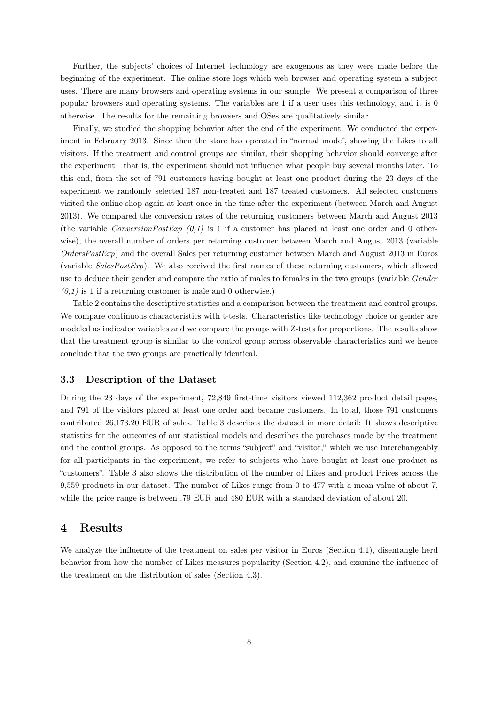Further, the subjects' choices of Internet technology are exogenous as they were made before the beginning of the experiment. The online store logs which web browser and operating system a subject uses. There are many browsers and operating systems in our sample. We present a comparison of three popular browsers and operating systems. The variables are 1 if a user uses this technology, and it is 0 otherwise. The results for the remaining browsers and OSes are qualitatively similar.

Finally, we studied the shopping behavior after the end of the experiment. We conducted the experiment in February 2013. Since then the store has operated in "normal mode", showing the Likes to all visitors. If the treatment and control groups are similar, their shopping behavior should converge after the experiment—that is, the experiment should not influence what people buy several months later. To this end, from the set of 791 customers having bought at least one product during the 23 days of the experiment we randomly selected 187 non-treated and 187 treated customers. All selected customers visited the online shop again at least once in the time after the experiment (between March and August 2013). We compared the conversion rates of the returning customers between March and August 2013 (the variable ConversionPostExp  $(0,1)$  is 1 if a customer has placed at least one order and 0 otherwise), the overall number of orders per returning customer between March and Angust 2013 (variable  $OrdersPostExp$ ) and the overall Sales per returning customer between March and August 2013 in Euros (variable SalesPostExp). We also received the first names of these returning customers, which allowed use to deduce their gender and compare the ratio of males to females in the two groups (variable Gender  $(0,1)$  is 1 if a returning customer is male and 0 otherwise.)

Table 2 contains the descriptive statistics and a comparison between the treatment and control groups. We compare continuous characteristics with t-tests. Characteristics like technology choice or gender are modeled as indicator variables and we compare the groups with Z-tests for proportions. The results show that the treatment group is similar to the control group across observable characteristics and we hence conclude that the two groups are practically identical.

#### 3.3 Description of the Dataset

During the 23 days of the experiment, 72,849 first-time visitors viewed 112,362 product detail pages, and 791 of the visitors placed at least one order and became customers. In total, those 791 customers contributed 26,173.20 EUR of sales. Table 3 describes the dataset in more detail: It shows descriptive statistics for the outcomes of our statistical models and describes the purchases made by the treatment and the control groups. As opposed to the terms "subject" and "visitor," which we use interchangeably for all participants in the experiment, we refer to subjects who have bought at least one product as "customers". Table 3 also shows the distribution of the number of Likes and product Prices across the 9,559 products in our dataset. The number of Likes range from 0 to 477 with a mean value of about 7, while the price range is between .79 EUR and 480 EUR with a standard deviation of about 20.

# 4 Results

We analyze the influence of the treatment on sales per visitor in Euros (Section 4.1), disentangle herd behavior from how the number of Likes measures popularity (Section 4.2), and examine the influence of the treatment on the distribution of sales (Section 4.3).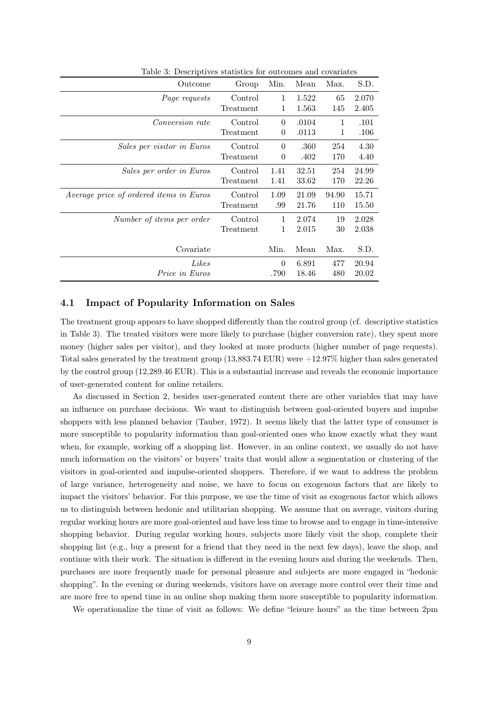| Outcome                                 | Group     | Min.     | Mean  | Max.  | S.D.  |
|-----------------------------------------|-----------|----------|-------|-------|-------|
| Page requests                           | Control   | 1        | 1.522 | 65    | 2.070 |
|                                         | Treatment | 1        | 1.563 | 145   | 2.405 |
| <i>Conversion rate</i>                  | Control   | $\theta$ | .0104 | 1     | .101  |
|                                         | Treatment | 0        | .0113 | 1     | .106  |
| Sales per visitor in Euros              | Control   | $\theta$ | .360  | 254   | 4.30  |
|                                         | Treatment | 0        | .402  | 170   | 4.40  |
| Sales per order in Euros                | Control   | 1.41     | 32.51 | 254   | 24.99 |
|                                         | Treatment | 1.41     | 33.62 | 170   | 22.26 |
| Average price of ordered items in Euros | Control   | 1.09     | 21.09 | 94.90 | 15.71 |
|                                         | Treatment | .99      | 21.76 | 110   | 15.50 |
| Number of items per order               | Control   | 1        | 2.074 | 19    | 2.028 |
|                                         | Treatment | 1        | 2.015 | 30    | 2.038 |
|                                         |           |          |       |       |       |
| Covariate                               |           | Min.     | Mean  | Max.  | S.D.  |
| Likes                                   |           | $\theta$ | 6.891 | 477   | 20.94 |
| <i>Price in Euros</i>                   |           | .790     | 18.46 | 480   | 20.02 |

Table 3: Descriptives statistics for outcomes and covariates

## 4.1 Impact of Popularity Information on Sales

The treatment group appears to have shopped differently than the control group (cf. descriptive statistics in Table 3). The treated visitors were more likely to purchase (higher conversion rate), they spent more money (higher sales per visitor), and they looked at more products (higher number of page requests). Total sales generated by the treatment group (13,883.74 EUR) were +12.97% higher than sales generated by the control group (12,289.46 EUR). This is a substantial increase and reveals the economic importance of user-generated content for online retailers.

As discussed in Section 2, besides user-generated content there are other variables that may have an influence on purchase decisions. We want to distinguish between goal-oriented buyers and impulse shoppers with less planned behavior (Tauber, 1972). It seems likely that the latter type of consumer is more susceptible to popularity information than goal-oriented ones who know exactly what they want when, for example, working off a shopping list. However, in an online context, we usually do not have much information on the visitors' or buyers' traits that would allow a segmentation or clustering of the visitors in goal-oriented and impulse-oriented shoppers. Therefore, if we want to address the problem of large variance, heterogeneity and noise, we have to focus on exogenous factors that are likely to impact the visitors' behavior. For this purpose, we use the time of visit as exogenous factor which allows us to distinguish between hedonic and utilitarian shopping. We assume that on average, visitors during regular working hours are more goal-oriented and have less time to browse and to engage in time-intensive shopping behavior. During regular working hours, subjects more likely visit the shop, complete their shopping list (e.g., buy a present for a friend that they need in the next few days), leave the shop, and continue with their work. The situation is different in the evening hours and during the weekends. Then, purchases are more frequently made for personal pleasure and subjects are more engaged in "hedonic shopping". In the evening or during weekends, visitors have on average more control over their time and are more free to spend time in an online shop making them more susceptible to popularity information.

We operationalize the time of visit as follows: We define "leisure hours" as the time between 2pm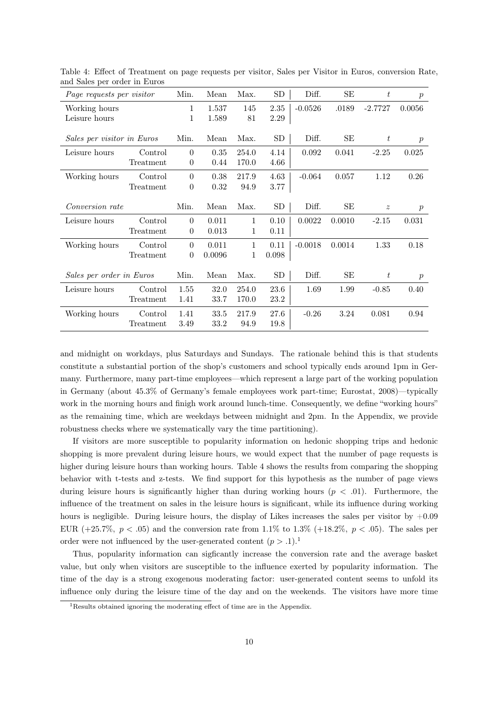| hu buite per order in Buros<br>Page requests per visitor |           | Min.           | Mean   | Max.  | SD         | Diff.     | SЕ     | t                | $\boldsymbol{p}$ |
|----------------------------------------------------------|-----------|----------------|--------|-------|------------|-----------|--------|------------------|------------------|
| Working hours                                            |           | 1              | 1.537  | 145   | 2.35       | $-0.0526$ | .0189  | $-2.7727$        | 0.0056           |
| Leisure hours                                            |           | 1              | 1.589  | 81    | $2.29\,$   |           |        |                  |                  |
| Sales per visitor in Euros                               |           | Min.           | Mean   | Max.  | <b>SD</b>  | Diff.     | SЕ     | $t\,$            | $\mathcal{p}$    |
| Leisure hours                                            | Control   | $\theta$       | 0.35   | 254.0 | 4.14       | 0.092     | 0.041  | $-2.25$          | 0.025            |
|                                                          | Treatment | $\theta$       | 0.44   | 170.0 | 4.66       |           |        |                  |                  |
| Working hours                                            | Control   | $\overline{0}$ | 0.38   | 217.9 | 4.63       | $-0.064$  | 0.057  | 1.12             | 0.26             |
|                                                          | Treatment | $\theta$       | 0.32   | 94.9  | 3.77       |           |        |                  |                  |
| <i>Conversion rate</i>                                   |           | Min.           | Mean   | Max.  | SD         | Diff.     | SЕ     | $\boldsymbol{z}$ | $\boldsymbol{p}$ |
| Leisure hours                                            | Control   | $\theta$       | 0.011  | 1     | 0.10       | 0.0022    | 0.0010 | $-2.15$          | 0.031            |
|                                                          | Treatment | $\theta$       | 0.013  | 1     | 0.11       |           |        |                  |                  |
| Working hours                                            | Control   | $\theta$       | 0.011  | 1     | 0.11       | $-0.0018$ | 0.0014 | 1.33             | 0.18             |
|                                                          | Treatment | $\overline{0}$ | 0.0096 | 1     | 0.098      |           |        |                  |                  |
| Sales per order in Euros                                 |           | Min.           | Mean   | Max.  | ${\rm SD}$ | Diff.     | SЕ     | t                | $\boldsymbol{p}$ |
| Leisure hours                                            | Control   | 1.55           | 32.0   | 254.0 | 23.6       | 1.69      | 1.99   | $-0.85$          | 0.40             |
|                                                          | Treatment | 1.41           | 33.7   | 170.0 | $23.2\,$   |           |        |                  |                  |
| Working hours                                            | Control   | 1.41           | 33.5   | 217.9 | 27.6       | $-0.26$   | 3.24   | 0.081            | 0.94             |
|                                                          | Treatment | 3.49           | 33.2   | 94.9  | 19.8       |           |        |                  |                  |

Table 4: Effect of Treatment on page requests per visitor, Sales per Visitor in Euros, conversion Rate, and Sales per order in Euros

and midnight on workdays, plus Saturdays and Sundays. The rationale behind this is that students constitute a substantial portion of the shop's customers and school typically ends around 1pm in Germany. Furthermore, many part-time employees—which represent a large part of the working population in Germany (about 45.3% of Germany's female employees work part-time; Eurostat, 2008)—typically work in the morning hours and finigh work around lunch-time. Consequently, we define "working hours" as the remaining time, which are weekdays between midnight and 2pm. In the Appendix, we provide robustness checks where we systematically vary the time partitioning).

If visitors are more susceptible to popularity information on hedonic shopping trips and hedonic shopping is more prevalent during leisure hours, we would expect that the number of page requests is higher during leisure hours than working hours. Table 4 shows the results from comparing the shopping behavior with t-tests and z-tests. We find support for this hypothesis as the number of page views during leisure hours is significantly higher than during working hours  $(p < .01)$ . Furthermore, the influence of the treatment on sales in the leisure hours is significant, while its influence during working hours is negligible. During leisure hours, the display of Likes increases the sales per visitor by  $+0.09$ EUR (+25.7%,  $p < .05$ ) and the conversion rate from 1.1% to 1.3% (+18.2%,  $p < .05$ ). The sales per order were not influenced by the user-generated content  $(p > .1).$ <sup>1</sup>

Thus, popularity information can sigficantly increase the conversion rate and the average basket value, but only when visitors are susceptible to the influence exerted by popularity information. The time of the day is a strong exogenous moderating factor: user-generated content seems to unfold its influence only during the leisure time of the day and on the weekends. The visitors have more time

<sup>1</sup>Results obtained ignoring the moderating effect of time are in the Appendix.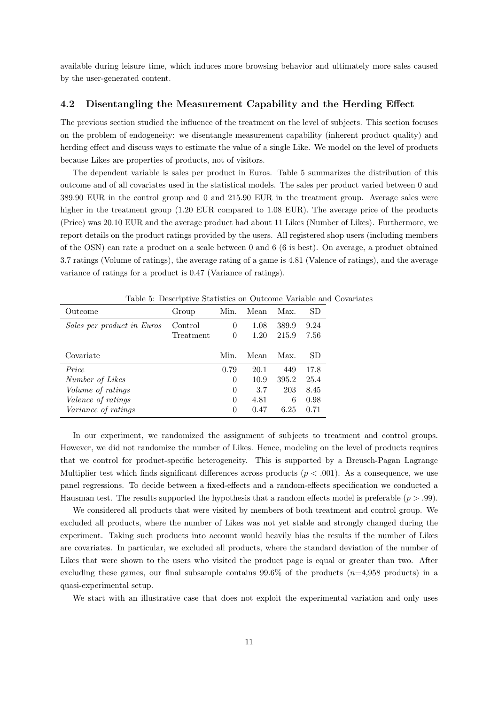available during leisure time, which induces more browsing behavior and ultimately more sales caused by the user-generated content.

## 4.2 Disentangling the Measurement Capability and the Herding Effect

The previous section studied the influence of the treatment on the level of subjects. This section focuses on the problem of endogeneity: we disentangle measurement capability (inherent product quality) and herding effect and discuss ways to estimate the value of a single Like. We model on the level of products because Likes are properties of products, not of visitors.

The dependent variable is sales per product in Euros. Table 5 summarizes the distribution of this outcome and of all covariates used in the statistical models. The sales per product varied between 0 and 389.90 EUR in the control group and 0 and 215.90 EUR in the treatment group. Average sales were higher in the treatment group (1.20 EUR compared to 1.08 EUR). The average price of the products (Price) was 20.10 EUR and the average product had about 11 Likes (Number of Likes). Furthermore, we report details on the product ratings provided by the users. All registered shop users (including members of the OSN) can rate a product on a scale between 0 and 6 (6 is best). On average, a product obtained 3.7 ratings (Volume of ratings), the average rating of a game is 4.81 (Valence of ratings), and the average variance of ratings for a product is 0.47 (Variance of ratings).

|                            | rapic of Deportpure Diamones on Outcome variable air |          |      |       |      |
|----------------------------|------------------------------------------------------|----------|------|-------|------|
| Outcome                    | Group                                                | Min.     | Mean | Max.  | SD   |
| Sales per product in Euros | Control                                              | $\Omega$ | 1.08 | 389.9 | 9.24 |
|                            | Treatment                                            | $\theta$ | 1.20 | 215.9 | 7.56 |
|                            |                                                      |          |      |       |      |
| Covariate                  |                                                      | Min.     | Mean | Max.  | SD   |
| Price                      |                                                      | 0.79     | 20.1 | 449   | 17.8 |
| Number of Likes            |                                                      | $\theta$ | 10.9 | 395.2 | 25.4 |
| Volume of ratings          |                                                      | $\theta$ | 3.7  | 203   | 8.45 |
| <i>Valence of ratings</i>  |                                                      | $\Omega$ | 4.81 | 6     | 0.98 |
| <i>Variance of ratings</i> |                                                      | $\theta$ | 0.47 | 6.25  | 0.71 |
|                            |                                                      |          |      |       |      |

Table 5: Descriptive Statistics on Outcome Variable and Covariates

In our experiment, we randomized the assignment of subjects to treatment and control groups. However, we did not randomize the number of Likes. Hence, modeling on the level of products requires that we control for product-specific heterogeneity. This is supported by a Breusch-Pagan Lagrange Multiplier test which finds significant differences across products  $(p < .001)$ . As a consequence, we use panel regressions. To decide between a fixed-effects and a random-effects specification we conducted a Hausman test. The results supported the hypothesis that a random effects model is preferable  $(p > .99)$ .

We considered all products that were visited by members of both treatment and control group. We excluded all products, where the number of Likes was not yet stable and strongly changed during the experiment. Taking such products into account would heavily bias the results if the number of Likes are covariates. In particular, we excluded all products, where the standard deviation of the number of Likes that were shown to the users who visited the product page is equal or greater than two. After excluding these games, our final subsample contains  $99.6\%$  of the products  $(n=4.958 \text{ products})$  in a quasi-experimental setup.

We start with an illustrative case that does not exploit the experimental variation and only uses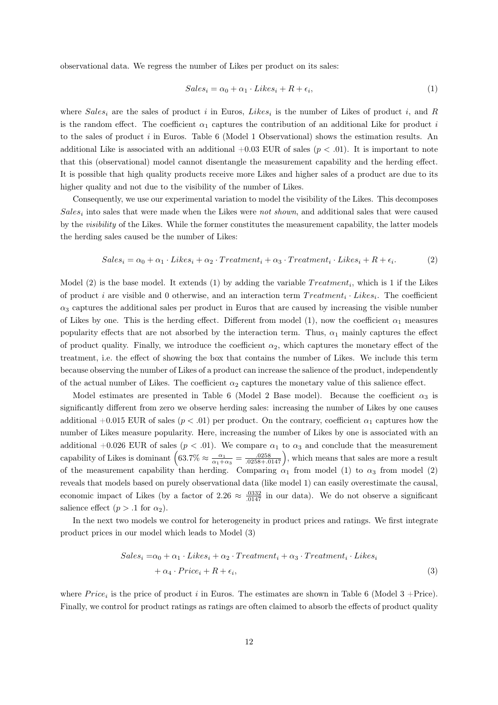observational data. We regress the number of Likes per product on its sales:

$$
Sales_i = \alpha_0 + \alpha_1 \cdot Likes_i + R + \epsilon_i,
$$
\n<sup>(1)</sup>

where  $Sales_i$  are the sales of product i in Euros, Likes<sub>i</sub> is the number of Likes of product i, and R is the random effect. The coefficient  $\alpha_1$  captures the contribution of an additional Like for product i to the sales of product i in Euros. Table 6 (Model 1 Observational) shows the estimation results. An additional Like is associated with an additional  $+0.03$  EUR of sales ( $p < .01$ ). It is important to note that this (observational) model cannot disentangle the measurement capability and the herding effect. It is possible that high quality products receive more Likes and higher sales of a product are due to its higher quality and not due to the visibility of the number of Likes.

Consequently, we use our experimental variation to model the visibility of the Likes. This decomposes  $Sales_i$  into sales that were made when the Likes were not shown, and additional sales that were caused by the visibility of the Likes. While the former constitutes the measurement capability, the latter models the herding sales caused be the number of Likes:

$$
Sales_i = \alpha_0 + \alpha_1 \cdot Likes_i + \alpha_2 \cdot Treatment_i + \alpha_3 \cdot Treatment_i \cdot Likes_i + R + \epsilon_i. \tag{2}
$$

Model (2) is the base model. It extends (1) by adding the variable  $Treatment_i$ , which is 1 if the Likes of product *i* are visible and 0 otherwise, and an interaction term  $Treatment_i \cdot Likes_i$ . The coefficient  $\alpha_3$  captures the additional sales per product in Euros that are caused by increasing the visible number of Likes by one. This is the herding effect. Different from model (1), now the coefficient  $\alpha_1$  measures popularity effects that are not absorbed by the interaction term. Thus,  $\alpha_1$  mainly captures the effect of product quality. Finally, we introduce the coefficient  $\alpha_2$ , which captures the monetary effect of the treatment, i.e. the effect of showing the box that contains the number of Likes. We include this term because observing the number of Likes of a product can increase the salience of the product, independently of the actual number of Likes. The coefficient  $\alpha_2$  captures the monetary value of this salience effect.

Model estimates are presented in Table 6 (Model 2 Base model). Because the coefficient  $\alpha_3$  is significantly different from zero we observe herding sales: increasing the number of Likes by one causes additional +0.015 EUR of sales ( $p < .01$ ) per product. On the contrary, coefficient  $\alpha_1$  captures how the number of Likes measure popularity. Here, increasing the number of Likes by one is associated with an additional +0.026 EUR of sales ( $p < .01$ ). We compare  $\alpha_1$  to  $\alpha_3$  and conclude that the measurement capability of Likes is dominant  $(63.7\% \approx \frac{\alpha_1}{\alpha_1+\alpha_3} = \frac{.0258}{.0258+.0147})$ , which means that sales are more a result of the measurement capability than herding. Comparing  $\alpha_1$  from model (1) to  $\alpha_3$  from model (2) reveals that models based on purely observational data (like model 1) can easily overestimate the causal, economic impact of Likes (by a factor of 2.26  $\approx \frac{.0332}{.0147}$  in our data). We do not observe a significant salience effect  $(p > .1$  for  $\alpha_2$ ).

In the next two models we control for heterogeneity in product prices and ratings. We first integrate product prices in our model which leads to Model (3)

$$
Sales_i = \alpha_0 + \alpha_1 \cdot \text{Likes}_i + \alpha_2 \cdot \text{Treatment}_i + \alpha_3 \cdot \text{Treatment}_i \cdot \text{Likes}_i
$$

$$
+ \alpha_4 \cdot \text{Price}_i + R + \epsilon_i,
$$

$$
\tag{3}
$$

where  $Price_i$  is the price of product i in Euros. The estimates are shown in Table 6 (Model 3 +Price). Finally, we control for product ratings as ratings are often claimed to absorb the effects of product quality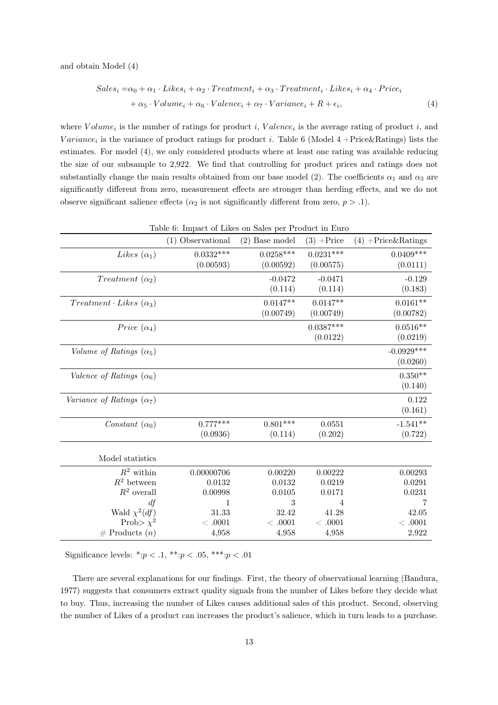and obtain Model (4)

$$
Sales_i = \alpha_0 + \alpha_1 \cdot Likes_i + \alpha_2 \cdot Treatment_i + \alpha_3 \cdot Treatment_i \cdot Likes_i + \alpha_4 \cdot Price_i
$$
  
+ 
$$
\alpha_5 \cdot Volume_i + \alpha_6 \cdot Valuece_i + \alpha_7 \cdot Variance_i + R + \epsilon_i,
$$
 (4)

where  $Volume_i$  is the number of ratings for product i, Valence<sub>i</sub> is the average rating of product i, and  $Variance_i$  is the variance of product ratings for product i. Table 6 (Model 4 +Price&Ratings) lists the estimates. For model (4), we only considered products where at least one rating was available reducing the size of our subsample to 2,922. We find that controlling for product prices and ratings does not substantially change the main results obtained from our base model (2). The coefficients  $\alpha_1$  and  $\alpha_3$  are significantly different from zero, measurement effects are stronger than herding effects, and we do not observe significant salience effects ( $\alpha_2$  is not significantly different from zero,  $p > .1$ ).

| Table 6: Impact of Likes on Sales per Product in Euro |                   |                  |                      |                       |  |  |  |
|-------------------------------------------------------|-------------------|------------------|----------------------|-----------------------|--|--|--|
|                                                       | (1) Observational | $(2)$ Base model | $(3) + \text{Price}$ | $(4) +$ Price&Ratings |  |  |  |
| <i>Likes</i> $(\alpha_1)$                             | $0.0332***$       | $0.0258***$      | $0.0231***$          | $0.0409***$           |  |  |  |
|                                                       | (0.00593)         | (0.00592)        | (0.00575)            | (0.0111)              |  |  |  |
| Treatment $(\alpha_2)$                                |                   | $-0.0472$        | $-0.0471$            | $-0.129$              |  |  |  |
|                                                       |                   | (0.114)          | (0.114)              | (0.183)               |  |  |  |
| $Treatment \cdot Likes(\alpha_3)$                     |                   | $0.0147**$       | $0.0147**$           | $0.0161**$            |  |  |  |
|                                                       |                   | (0.00749)        | (0.00749)            | (0.00782)             |  |  |  |
| Price $(\alpha_4)$                                    |                   |                  | $0.0387***$          | $0.0516**$            |  |  |  |
|                                                       |                   |                  | (0.0122)             | (0.0219)              |  |  |  |
| Volume of Ratings $(\alpha_5)$                        |                   |                  |                      | $-0.0929***$          |  |  |  |
|                                                       |                   |                  |                      | (0.0260)              |  |  |  |
| Valence of Ratings $(\alpha_6)$                       |                   |                  |                      | $0.350**$             |  |  |  |
|                                                       |                   |                  |                      | (0.140)               |  |  |  |
| Variance of Ratings $(\alpha_7)$                      |                   |                  |                      | 0.122                 |  |  |  |
|                                                       |                   |                  |                      | (0.161)               |  |  |  |
| Constant $(\alpha_0)$                                 | $0.777***$        | $0.801***$       | 0.0551               | $-1.541**$            |  |  |  |
|                                                       | (0.0936)          | (0.114)          | (0.202)              | (0.722)               |  |  |  |
|                                                       |                   |                  |                      |                       |  |  |  |
| Model statistics                                      |                   |                  |                      |                       |  |  |  |
| $R^2$ within                                          | 0.00000706        | 0.00220          | 0.00222              | 0.00293               |  |  |  |
| $R^2$ between                                         | 0.0132            | 0.0132           | 0.0219               | 0.0291                |  |  |  |
| $R^2$ overall                                         | 0.00998           | 0.0105           | 0.0171               | 0.0231                |  |  |  |
| df                                                    | 1                 | 3                | 4                    | 7                     |  |  |  |
| Wald $\chi^2(df)$                                     | 31.33             | 32.42            | 41.28                | 42.05                 |  |  |  |
| Prob> $\chi^2$                                        | <.0001            | $< .0001$        | <.0001               | <.0001                |  |  |  |
| $#$ Products $(n)$                                    | 4,958             | 4,958            | 4,958                | 2,922                 |  |  |  |

Significance levels: \*: $p < .1,$ \*\*: $p < .05,$ \*\*\*: $p < .01$ 

There are several explanations for our findings. First, the theory of observational learning (Bandura, 1977) suggests that consumers extract quality signals from the number of Likes before they decide what to buy. Thus, increasing the number of Likes causes additional sales of this product. Second, observing the number of Likes of a product can increases the product's salience, which in turn leads to a purchase.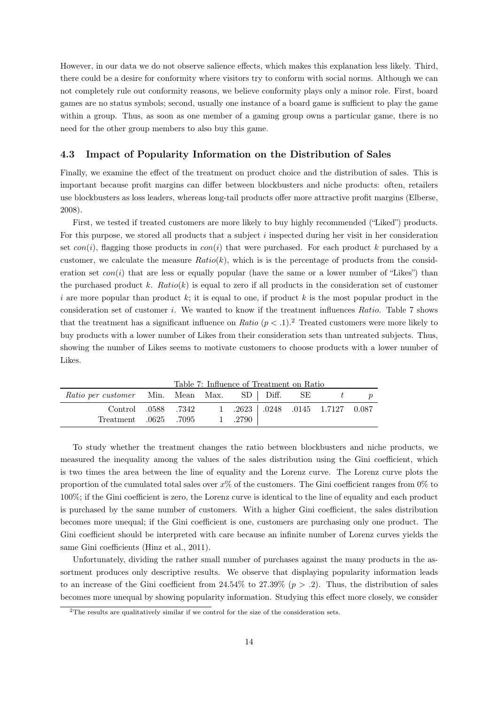However, in our data we do not observe salience effects, which makes this explanation less likely. Third, there could be a desire for conformity where visitors try to conform with social norms. Although we can not completely rule out conformity reasons, we believe conformity plays only a minor role. First, board games are no status symbols; second, usually one instance of a board game is sufficient to play the game within a group. Thus, as soon as one member of a gaming group owns a particular game, there is no need for the other group members to also buy this game.

## 4.3 Impact of Popularity Information on the Distribution of Sales

Finally, we examine the effect of the treatment on product choice and the distribution of sales. This is important because profit margins can differ between blockbusters and niche products: often, retailers use blockbusters as loss leaders, whereas long-tail products offer more attractive profit margins (Elberse, 2008).

First, we tested if treated customers are more likely to buy highly recommended ("Liked") products. For this purpose, we stored all products that a subject i inspected during her visit in her consideration set con(i), flagging those products in con(i) that were purchased. For each product k purchased by a customer, we calculate the measure  $Ratio(k)$ , which is is the percentage of products from the consideration set  $con(i)$  that are less or equally popular (have the same or a lower number of "Likes") than the purchased product k.  $Ratio(k)$  is equal to zero if all products in the consideration set of customer i are more popular than product  $k$ ; it is equal to one, if product k is the most popular product in the consideration set of customer i. We wanted to know if the treatment influences Ratio. Table 7 shows that the treatment has a significant influence on Ratio  $(p < 0.1)$ .<sup>2</sup> Treated customers were more likely to buy products with a lower number of Likes from their consideration sets than untreated subjects. Thus, showing the number of Likes seems to motivate customers to choose products with a lower number of Likes.

Table 7: Influence of Treatment on Ratio

| <i>Ratio per customer</i> Min. Mean Max. SD   Diff. SE $t$ p |  |         |  |                                    |  |
|--------------------------------------------------------------|--|---------|--|------------------------------------|--|
| Control .0588 .7342                                          |  |         |  | $1$ .2623 .0248 .0145 1.7127 0.087 |  |
| 7095. Treatment 0625                                         |  | 1 .2790 |  |                                    |  |

To study whether the treatment changes the ratio between blockbusters and niche products, we measured the inequality among the values of the sales distribution using the Gini coefficient, which is two times the area between the line of equality and the Lorenz curve. The Lorenz curve plots the proportion of the cumulated total sales over  $x\%$  of the customers. The Gini coefficient ranges from  $0\%$  to 100%; if the Gini coefficient is zero, the Lorenz curve is identical to the line of equality and each product is purchased by the same number of customers. With a higher Gini coefficient, the sales distribution becomes more unequal; if the Gini coefficient is one, customers are purchasing only one product. The Gini coefficient should be interpreted with care because an infinite number of Lorenz curves yields the same Gini coefficients (Hinz et al., 2011).

Unfortunately, dividing the rather small number of purchases against the many products in the assortment produces only descriptive results. We observe that displaying popularity information leads to an increase of the Gini coefficient from 24.54% to 27.39% ( $p > .2$ ). Thus, the distribution of sales becomes more unequal by showing popularity information. Studying this effect more closely, we consider

<sup>&</sup>lt;sup>2</sup>The results are qualitatively similar if we control for the size of the consideration sets.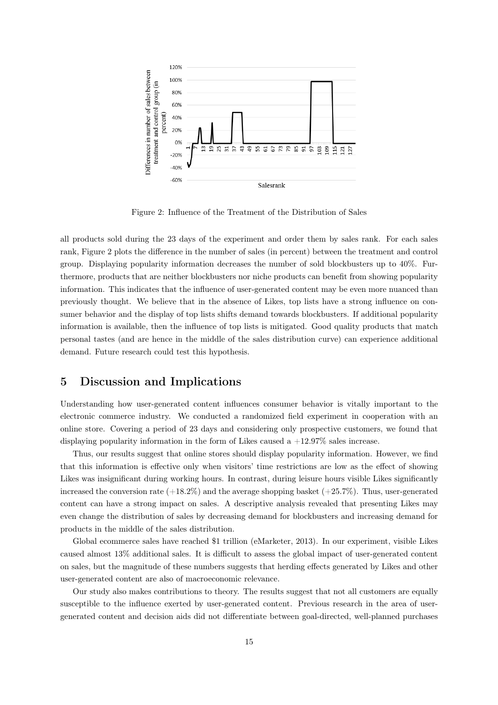

Figure 2: Influence of the Treatment of the Distribution of Sales

all products sold during the 23 days of the experiment and order them by sales rank. For each sales rank, Figure 2 plots the difference in the number of sales (in percent) between the treatment and control group. Displaying popularity information decreases the number of sold blockbusters up to 40%. Furthermore, products that are neither blockbusters nor niche products can benefit from showing popularity information. This indicates that the influence of user-generated content may be even more nuanced than previously thought. We believe that in the absence of Likes, top lists have a strong influence on consumer behavior and the display of top lists shifts demand towards blockbusters. If additional popularity information is available, then the influence of top lists is mitigated. Good quality products that match personal tastes (and are hence in the middle of the sales distribution curve) can experience additional demand. Future research could test this hypothesis.

# 5 Discussion and Implications

Understanding how user-generated content influences consumer behavior is vitally important to the electronic commerce industry. We conducted a randomized field experiment in cooperation with an online store. Covering a period of 23 days and considering only prospective customers, we found that displaying popularity information in the form of Likes caused a  $+12.97\%$  sales increase.

Thus, our results suggest that online stores should display popularity information. However, we find that this information is effective only when visitors' time restrictions are low as the effect of showing Likes was insignificant during working hours. In contrast, during leisure hours visible Likes significantly increased the conversion rate  $(+18.2\%)$  and the average shopping basket  $(+25.7\%)$ . Thus, user-generated content can have a strong impact on sales. A descriptive analysis revealed that presenting Likes may even change the distribution of sales by decreasing demand for blockbusters and increasing demand for products in the middle of the sales distribution.

Global ecommerce sales have reached \$1 trillion (eMarketer, 2013). In our experiment, visible Likes caused almost 13% additional sales. It is difficult to assess the global impact of user-generated content on sales, but the magnitude of these numbers suggests that herding effects generated by Likes and other user-generated content are also of macroeconomic relevance.

Our study also makes contributions to theory. The results suggest that not all customers are equally susceptible to the influence exerted by user-generated content. Previous research in the area of usergenerated content and decision aids did not differentiate between goal-directed, well-planned purchases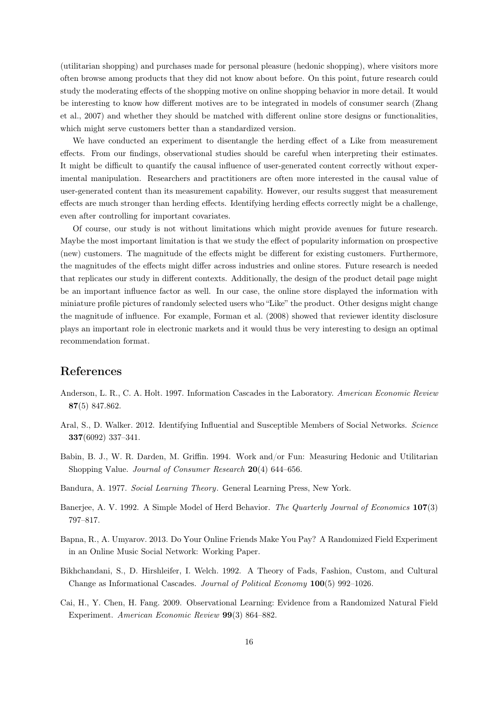(utilitarian shopping) and purchases made for personal pleasure (hedonic shopping), where visitors more often browse among products that they did not know about before. On this point, future research could study the moderating effects of the shopping motive on online shopping behavior in more detail. It would be interesting to know how different motives are to be integrated in models of consumer search (Zhang et al., 2007) and whether they should be matched with different online store designs or functionalities, which might serve customers better than a standardized version.

We have conducted an experiment to disentangle the herding effect of a Like from measurement effects. From our findings, observational studies should be careful when interpreting their estimates. It might be difficult to quantify the causal influence of user-generated content correctly without experimental manipulation. Researchers and practitioners are often more interested in the causal value of user-generated content than its measurement capability. However, our results suggest that measurement effects are much stronger than herding effects. Identifying herding effects correctly might be a challenge, even after controlling for important covariates.

Of course, our study is not without limitations which might provide avenues for future research. Maybe the most important limitation is that we study the effect of popularity information on prospective (new) customers. The magnitude of the effects might be different for existing customers. Furthermore, the magnitudes of the effects might differ across industries and online stores. Future research is needed that replicates our study in different contexts. Additionally, the design of the product detail page might be an important influence factor as well. In our case, the online store displayed the information with miniature profile pictures of randomly selected users who "Like" the product. Other designs might change the magnitude of influence. For example, Forman et al. (2008) showed that reviewer identity disclosure plays an important role in electronic markets and it would thus be very interesting to design an optimal recommendation format.

# References

- Anderson, L. R., C. A. Holt. 1997. Information Cascades in the Laboratory. American Economic Review 87(5) 847.862.
- Aral, S., D. Walker. 2012. Identifying Influential and Susceptible Members of Social Networks. Science 337(6092) 337–341.
- Babin, B. J., W. R. Darden, M. Griffin. 1994. Work and/or Fun: Measuring Hedonic and Utilitarian Shopping Value. Journal of Consumer Research 20(4) 644–656.
- Bandura, A. 1977. Social Learning Theory. General Learning Press, New York.
- Banerjee, A. V. 1992. A Simple Model of Herd Behavior. The Quarterly Journal of Economics 107(3) 797–817.
- Bapna, R., A. Umyarov. 2013. Do Your Online Friends Make You Pay? A Randomized Field Experiment in an Online Music Social Network: Working Paper.
- Bikhchandani, S., D. Hirshleifer, I. Welch. 1992. A Theory of Fads, Fashion, Custom, and Cultural Change as Informational Cascades. Journal of Political Economy 100(5) 992–1026.
- Cai, H., Y. Chen, H. Fang. 2009. Observational Learning: Evidence from a Randomized Natural Field Experiment. American Economic Review 99(3) 864–882.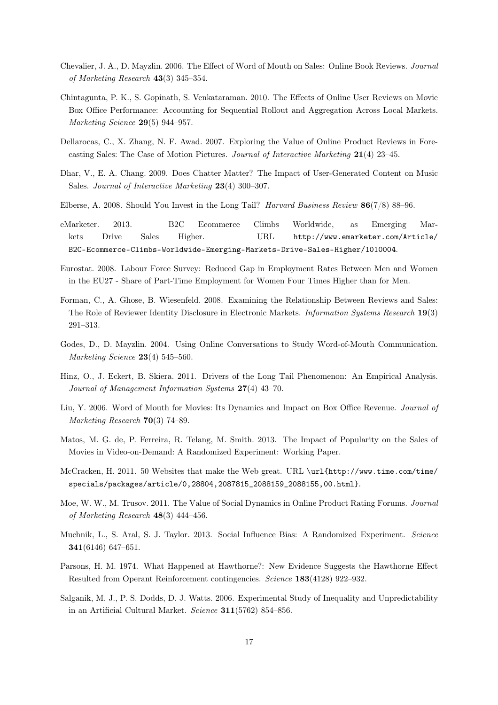- Chevalier, J. A., D. Mayzlin. 2006. The Effect of Word of Mouth on Sales: Online Book Reviews. Journal of Marketing Research 43(3) 345–354.
- Chintagunta, P. K., S. Gopinath, S. Venkataraman. 2010. The Effects of Online User Reviews on Movie Box Office Performance: Accounting for Sequential Rollout and Aggregation Across Local Markets. Marketing Science 29(5) 944–957.
- Dellarocas, C., X. Zhang, N. F. Awad. 2007. Exploring the Value of Online Product Reviews in Forecasting Sales: The Case of Motion Pictures. Journal of Interactive Marketing 21(4) 23–45.
- Dhar, V., E. A. Chang. 2009. Does Chatter Matter? The Impact of User-Generated Content on Music Sales. Journal of Interactive Marketing 23(4) 300–307.
- Elberse, A. 2008. Should You Invest in the Long Tail? Harvard Business Review  $86(7/8)$  88–96.
- eMarketer. 2013. B2C Ecommerce Climbs Worldwide, as Emerging Markets Drive Sales Higher. URL http://www.emarketer.com/Article/ B2C-Ecommerce-Climbs-Worldwide-Emerging-Markets-Drive-Sales-Higher/1010004.
- Eurostat. 2008. Labour Force Survey: Reduced Gap in Employment Rates Between Men and Women in the EU27 - Share of Part-Time Employment for Women Four Times Higher than for Men.
- Forman, C., A. Ghose, B. Wiesenfeld. 2008. Examining the Relationship Between Reviews and Sales: The Role of Reviewer Identity Disclosure in Electronic Markets. Information Systems Research 19(3) 291–313.
- Godes, D., D. Mayzlin. 2004. Using Online Conversations to Study Word-of-Mouth Communication. Marketing Science 23(4) 545–560.
- Hinz, O., J. Eckert, B. Skiera. 2011. Drivers of the Long Tail Phenomenon: An Empirical Analysis. Journal of Management Information Systems 27(4) 43–70.
- Liu, Y. 2006. Word of Mouth for Movies: Its Dynamics and Impact on Box Office Revenue. Journal of Marketing Research 70(3) 74–89.
- Matos, M. G. de, P. Ferreira, R. Telang, M. Smith. 2013. The Impact of Popularity on the Sales of Movies in Video-on-Demand: A Randomized Experiment: Working Paper.
- McCracken, H. 2011. 50 Websites that make the Web great. URL \url{http://www.time.com/time/ specials/packages/article/0,28804,2087815\_2088159\_2088155,00.html}.
- Moe, W. W., M. Trusov. 2011. The Value of Social Dynamics in Online Product Rating Forums. Journal of Marketing Research 48(3) 444–456.
- Muchnik, L., S. Aral, S. J. Taylor. 2013. Social Influence Bias: A Randomized Experiment. Science 341(6146) 647–651.
- Parsons, H. M. 1974. What Happened at Hawthorne?: New Evidence Suggests the Hawthorne Effect Resulted from Operant Reinforcement contingencies. Science 183(4128) 922–932.
- Salganik, M. J., P. S. Dodds, D. J. Watts. 2006. Experimental Study of Inequality and Unpredictability in an Artificial Cultural Market. Science 311(5762) 854–856.